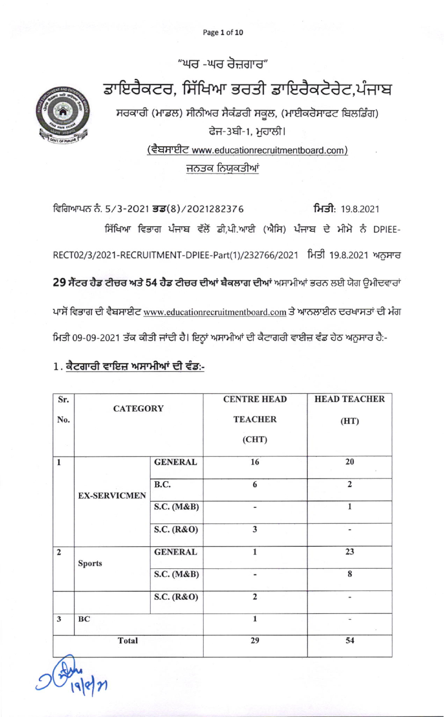Page 1 of 10

"ਘਰ -ਘਰ ਰੋਜ਼ਗਾਰ" ਡਾਇਰੈਕਟਰ, ਸਿੱਖਿਆ ਭਰਤੀ ਡਾਇਰੈਕਟੋਰੇਟ,ਪੰਜਾਬ ਸਰਕਾਰੀ (ਮਾਡਲ) ਸੀਨੀਅਰ ਸੈਕੰਡਰੀ ਸਕੂਲ, (ਮਾਈਕਰੋਸਾਫਟ ਬਿਲਡਿੰਗ) ਫੇਜ-3ਬੀ-1, ਮੁਹਾਲੀ। (ਵੈਬਸਾਈਟ www.educationrecruitmentboard.com) ਜਨਤਕ ਨਿਯੁਕਤੀਆਂ

ਵਿਗਿਆਪਨ ਨੰ. 5/3-2021 ਭਡ(8)/2021282376 ਮਿਤੀ: 19.8.2021 ਸਿੱਖਿਆ ਵਿਭਾਗ ਪੰਜਾਬ ਵੱਲੋਂ ਡੀ,ਪੀ.ਆਈ (ਐਸਿ) ਪੰਜਾਬ ਦੇ ਮੀਮੇ ਨੂੰ DPIEE-RECT02/3/2021-RECRUITMENT-DPIEE-Part(1)/232766/2021 ਮਿਤੀ 19.8.2021 ਅਨੁਸਾਰ 29 ਸੈਂਟਰ ਹੈਡ ਟੀਚਰ ਅਤੇ 54 ਹੈਡ ਟੀਚਰ ਦੀਆਂ ਬੈਕਲਾਗ ਦੀਆਂ ਅਸਾਮੀਆਂ ਭਰਨ ਲਈ ਯੋਗ ਉਮੀਦਵਾਰਾਂ ਪਾਸੋਂ ਵਿਭਾਗ ਦੀ ਵੈਬਸਾਈਟ www.educationrecruitmentboard.com ਤੇ ਆਨਲਾਈਨ ਦਰਖਾਸਤਾਂ ਦੀ ਮੰਗ ਮਿਤੀ 09-09-2021 ਤੱਕ ਕੀਤੀ ਜਾਂਦੀ ਹੈ। ਇਨ੍ਹਾਂ ਅਸਾਮੀਆਂ ਦੀ ਕੈਟਾਗਰੀ ਵਾਈਜ਼ ਵੰਡ ਹੇਠ ਅਨੁਸਾਰ ਹੈ:-

|  | 1. ਕੈਟਗਾਰੀ ਵਾਇਜ਼ ਅਸਾਮੀਆਂ ਦੀ ਵੰਡ:- |  |
|--|-----------------------------------|--|
|  |                                   |  |

| Sr.            |                     |                | <b>CENTRE HEAD</b>           | <b>HEAD TEACHER</b>          |
|----------------|---------------------|----------------|------------------------------|------------------------------|
| No.            | <b>CATEGORY</b>     |                | <b>TEACHER</b><br>(CHT)      | (HT)                         |
| $\mathbf 1$    |                     | <b>GENERAL</b> | 16                           | 20                           |
|                | <b>EX-SERVICMEN</b> | B.C.           | 6                            | $\overline{2}$               |
|                |                     | S.C. (M&B)     | $\blacksquare$               | 1                            |
|                |                     | S.C. (R&O)     | 3                            |                              |
| $\overline{2}$ | <b>Sports</b>       | <b>GENERAL</b> | $\mathbf{1}$                 | 23                           |
|                |                     | S.C. (M&B)     | $\qquad \qquad \blacksquare$ | 8                            |
|                |                     | S.C. (R&O)     | $\overline{\mathbf{c}}$      | $\overline{\phantom{0}}$     |
| $\mathbf{3}$   | BC                  |                | $\mathbf{1}$                 | $\qquad \qquad \blacksquare$ |
| <b>Total</b>   |                     |                | 29                           | 54                           |
|                |                     |                |                              |                              |

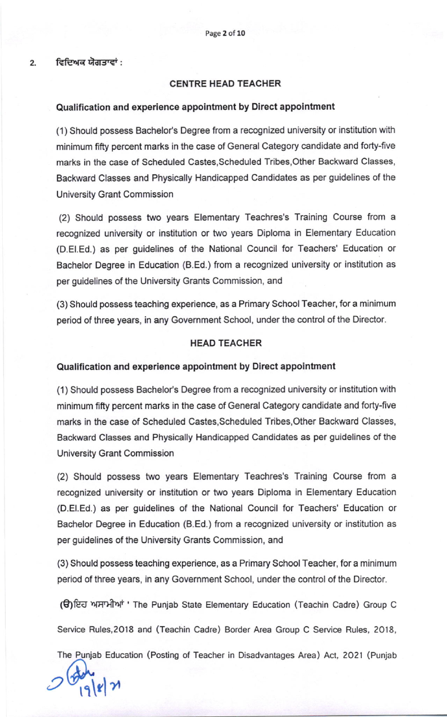ਵਿਦਿਅਕ ਯੋਗਤਾਵਾਂ :

 $2.$ 

### CENTRE HEAD TEACHER

#### Qualification and experience appointment by Direct appointment

(1) Should possess Bachelor's Degree from a recognized university or institution with minimum fifty percent marks in the case of General Category candidate and forty-five marks in the case of Scheduled Castes,Scheduled Tribes,Other Backward Classes, Backward Classes and Physically Handicapped Candidates as per guidelines of the University Grant Commission

(2) Should possess two years Elementary Teachres's Training Course from a recognized university or institution or two years Diploma in Elementary Education (D.El.Ed.) as per guidelines of the National Council for Teachers' Education or Bachelor Degree in Education (B.Ed.) from a recognized university or institution as per guidelines of the University Grants Commission, and

(3) Should possess teaching experience, as a Primary School Teacher, for a minimum period of three years, in any Government School, under the control of the Director.

### HEAD TEACHER

#### Quallfication and experience appointment by Direct appointment

(1) Should possess Bachelor's Degree from a recognized university or institution with minimum fifty percent marks in the case of General Category candidate and forty-five marks in the case of Scheduled Castes,Scheduled Tribes,Other Backward Classes, Backward Classes and Physically Handicapped Candidates as per guidelines of the University Grant Commission

(2) Should possess two years Elementary Teachres's Training Course from a recognized university or institution or two years Diploma in Elementary Education (D.El.Ed.) as per guidelines of the National Council for Teachers' Education or Bachelor Degree in Education (B.Ed.) from a recognized university or institution as per guidelines of the University Grants Commission, and

(3) Should possess teaching experience, as a Primary School Teacher, for a minimum period of three years, in any Govemment School, under the control of the Director.

€)Ed l{ln+nf ' The Puniab State Elementary Education (Teachin Cadre) Group <sup>C</sup>

Service Rules,2ol8 and (Teachin Cadre) Border Area Group C Service Rules, 2O18,

The Punjab Education (Posting of Teacher in Disadvantages Area) Act, 2021 (Punjab

 $2\frac{6}{19}$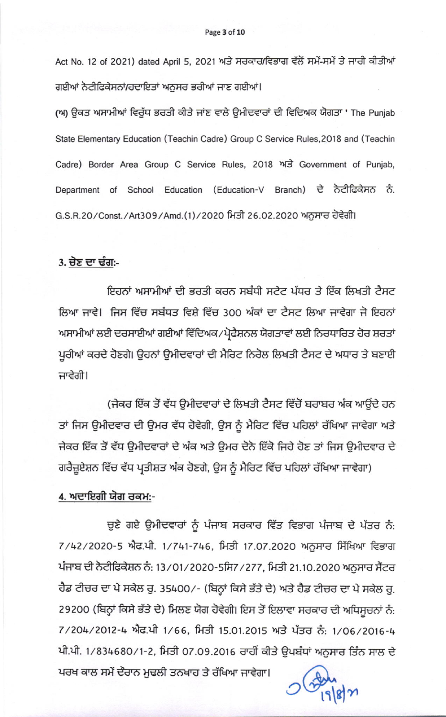Act No. 12 of 2021) dated April 5, 2021 ਅਤੇ ਸਰਕਾਰ/ਵਿਭਾਗ ਵੱਲੋਂ ਸਮੇਂ-ਸਮੇਂ ਤੇ ਜਾਰੀ ਕੀਤੀਆਂ ਗਈਆਂ ਨੇਟੀਫਿਕੇਸਨਾਂ/ਹਦਾਇਤਾਂ ਅਨੁਸਰ ਭਰੀਆਂ ਜਾਣ ਗਈਆਂ।

(ਅ) ਉਕਤ ਅਸਾਮੀਆਂ ਵਿਰੁੱਧ ਭਰਤੀ ਕੀਤੇ ਜਾਂਣ ਵਾਲੇ ਉਮੀਦਵਾਰਾਂ ਦੀ ਵਿਦਿਅਕ ਯੋਗਤਾ ' The Punjab State Elementary Education (Teachin Cadre) Group C Service Rules, 2018 and (Teachin Cadre) Border Area Group C Service Rules, 2018 ਅਤੇ Government of Punjab, Department of School Education (Education-V Branch) ਦੇ ਨੋਟੀਫਿਕੇਸਨ ਨੰ. G.S.R.20/Const./Art309/Amd.(1)/2020 ਮਿਤੀ 26.02.2020 ਅਨੁਸਾਰ ਹੋਵੇਗੀ।

# 3. ਚੋਣ ਦਾ ਢੰਗ:-

ਇਹਨਾਂ ਅਸਾਮੀਆਂ ਦੀ ਭਰਤੀ ਕਰਨ ਸਬੰਧੀ ਸਟੇਟ ਪੱਧਰ ਤੇ ਇੱਕ ਲਿਖਤੀ ਟੈਸਟ ਲਿਆ ਜਾਵੇ। ਜਿਸ ਵਿੱਚ ਸਬੰਧਤ ਵਿਸ਼ੇ ਵਿੱਚ 300 ਅੰਕਾਂ ਦਾ ਟੈਸਟ ਲਿਆ ਜਾਵੇਗਾ ਜੋ ਇਹਨਾਂ ਅਸਾਮੀਆਂ ਲਈ ਦਰਸਾਈਆਂ ਗਈਆਂ ਵਿੱਦਿਅਕ/ਪ੍ਰੋਫੈਸ਼ਨਲ ਯੋਗਤਾਵਾਂ ਲਈ ਨਿਰਧਾਰਿਤ ਹੋਰ ਸ਼ਰਤਾਂ ਪੁਰੀਆਂ ਕਰਦੇ ਹੋਣਗੇ। ਉਹਨਾਂ ਉਮੀਦਵਾਰਾਂ ਦੀ ਮੈਰਿਟ ਨਿਰੋਲ ਲਿਖਤੀ ਟੈਸਟ ਦੇ ਅਧਾਰ ਤੇ ਬਣਾਈ ਜਾਵੇਗੀ।

(ਜੇਕਰ ਇੱਕ ਤੋਂ ਵੱਧ ਉਮੀਦਵਾਰਾਂ ਦੇ ਲਿਖਤੀ ਟੈਸਟ ਵਿੱਚੋਂ ਬਰਾਬਰ ਅੰਕ ਆਉਂਦੇ ਹਨ ਤਾਂ ਜਿਸ ਉਮੀਦਵਾਰ ਦੀ ਉਮਰ ਵੱਧ ਹੋਵੇਗੀ, ਉਸ ਨੂੰ ਮੈਰਿਟ ਵਿੱਚ ਪਹਿਲਾਂ ਰੱਖਿਆ ਜਾਵੇਗਾ ਅਤੇ ਜੇਕਰ ਇੱਕ ਤੋਂ ਵੱਧ ਉਮੀਦਵਾਰਾਂ ਦੇ ਅੰਕ ਅਤੇ ਉਮਰ ਦੇਨੋ ਇੱਕੋ ਜਿਹੇ ਹੋਣ ਤਾਂ ਜਿਸ ਉਮੀਦਵਾਰ ਦੇ ਗਰੈਜ਼ੁਏਸ਼ਨ ਵਿੱਚ ਵੱਧ ਪ੍ਰਤੀਸ਼ਤ ਅੰਕ ਹੋਣਗੇ, ਉਸ ਨੂੰ ਮੈਰਿਟ ਵਿੱਚ ਪਹਿਲਾਂ ਰੱਖਿਆ ਜਾਵੇਗਾ)

## 4. ਅਦਾਇਗੀ ਯੋਗ ਰਕਮ:-

ਚੁਣੇ ਗਏ ਉਮੀਦਵਾਰਾਂ ਨੂੰ ਪੰਜਾਬ ਸਰਕਾਰ ਵਿੱਤ ਵਿਭਾਗ ਪੰਜਾਬ ਦੇ ਪੱਤਰ ਨੰ: 7/42/2020-5 ਐਫ.ਪੀ. 1/741-746, ਮਿਤੀ 17.07.2020 ਅਨੁਸਾਰ ਸਿੱਖਿਆ ਵਿਭਾਗ ਪੰਜਾਬ ਦੀ ਨੋਟੀਫਿਕੇਸ਼ਨ ਨੰ: 13/01/2020-5ਸਿ7/277, ਮਿਤੀ 21.10.2020 ਅਨੁਸਾਰ ਸੈਂਟਰ ਹੈਡ ਟੀਚਰ ਦਾ ਪੇ ਸਕੇਲ ਰੂ. 35400/- (ਬਿਨ੍ਹਾਂ ਕਿਸੇ ਭੱਤੇ ਦੇ) ਅਤੇ ਹੈਡ ਟੀਚਰ ਦਾ ਪੇ ਸਕੇਲ ਰੂ. 29200 (ਬਿਨ੍ਹਾਂ ਕਿਸੇ ਭੱਤੇ ਦੇ) ਮਿਲਣ ਯੋਗ ਹੋਵੇਗੀ। ਇਸ ਤੋਂ ਇਲਾਵਾ ਸਰਕਾਰ ਦੀ ਅਧਿਸੂਚਨਾਂ ਨੰ: 7/204/2012-4 ਐਫ.ਪੀ 1/66, ਮਿਤੀ 15.01.2015 ਅਤੇ ਪੱਤਰ ਨੰ: 1/06/2016-4 ਪੀ.ਪੀ. 1/834680/1-2, ਮਿਤੀ 07.09.2016 ਰਾਹੀਂ ਕੀਤੇ ਉਪਬੰਧਾਂ ਅਨੁਸਾਰ ਤਿੰਨ ਸਾਲ ਦੇ

ਪਰਖ ਕਾਲ ਸਮੇਂ ਦੌਰਾਨ ਮੁਢਲੀ ਤਨਖਾਹ ਤੇ ਰੱਖਿਆ ਜਾਵੇਗਾ।